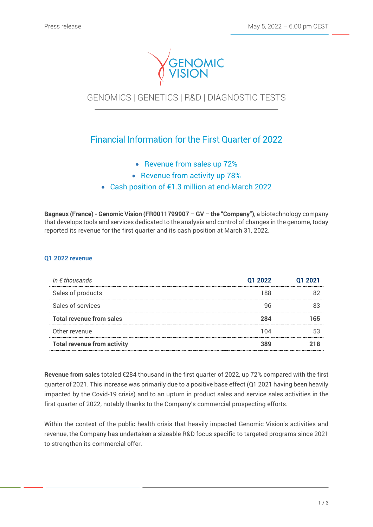

# GENOMICS | GENETICS | R&D | DIAGNOSTIC TESTS

## Financial Information for the First Quarter of 2022

- Revenue from sales up 72%
- Revenue from activity up 78%
- Cash position of €1.3 million at end-March 2022

**Bagneux (France) - Genomic Vision (FR0011799907 – GV – the "Company")**, a biotechnology company that develops tools and services dedicated to the analysis and control of changes in the genome, today reported its revenue for the first quarter and its cash position at March 31, 2022.

## **Q1 2022 revenue**

| In $\epsilon$ thousands            | 01 2022 | 01 2021 |
|------------------------------------|---------|---------|
| Sales of products                  | 188     |         |
| Sales of services                  |         |         |
| <b>Total revenue from sales</b>    | 284     | 165     |
| Other revenue                      | 1 N 4   |         |
| <b>Total revenue from activity</b> |         |         |

**Revenue from sales** totaled €284 thousand in the first quarter of 2022, up 72% compared with the first quarter of 2021. This increase was primarily due to a positive base effect (Q1 2021 having been heavily impacted by the Covid-19 crisis) and to an upturn in product sales and service sales activities in the first quarter of 2022, notably thanks to the Company's commercial prospecting efforts.

Within the context of the public health crisis that heavily impacted Genomic Vision's activities and revenue, the Company has undertaken a sizeable R&D focus specific to targeted programs since 2021 to strengthen its commercial offer.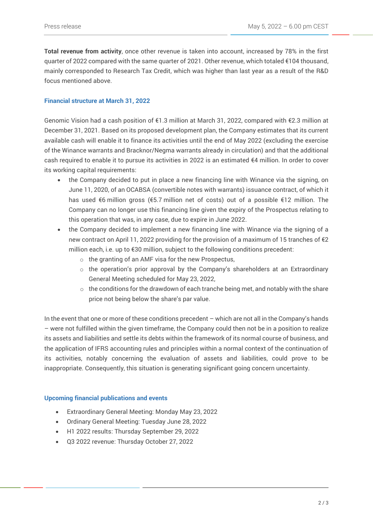**Total revenue from activity**, once other revenue is taken into account, increased by 78% in the first quarter of 2022 compared with the same quarter of 2021. Other revenue, which totaled €104 thousand, mainly corresponded to Research Tax Credit, which was higher than last year as a result of the R&D focus mentioned above.

### **Financial structure at March 31, 2022**

Genomic Vision had a cash position of €1.3 million at March 31, 2022, compared with €2.3 million at December 31, 2021. Based on its proposed development plan, the Company estimates that its current available cash will enable it to finance its activities until the end of May 2022 (excluding the exercise of the Winance warrants and Bracknor/Negma warrants already in circulation) and that the additional cash required to enable it to pursue its activities in 2022 is an estimated €4 million. In order to cover its working capital requirements:

- the Company decided to put in place a new financing line with Winance via the signing, on June 11, 2020, of an OCABSA (convertible notes with warrants) issuance contract, of which it has used €6 million gross (€5.7 million net of costs) out of a possible €12 million. The Company can no longer use this financing line given the expiry of the Prospectus relating to this operation that was, in any case, due to expire in June 2022.
- the Company decided to implement a new financing line with Winance via the signing of a new contract on April 11, 2022 providing for the provision of a maximum of 15 tranches of €2 million each, i.e. up to €30 million, subject to the following conditions precedent:
	- o the granting of an AMF visa for the new Prospectus,
	- o the operation's prior approval by the Company's shareholders at an Extraordinary General Meeting scheduled for May 23, 2022,
	- $\circ$  the conditions for the drawdown of each tranche being met, and notably with the share price not being below the share's par value.

In the event that one or more of these conditions precedent – which are not all in the Company's hands – were not fulfilled within the given timeframe, the Company could then not be in a position to realize its assets and liabilities and settle its debts within the framework of its normal course of business, and the application of IFRS accounting rules and principles within a normal context of the continuation of its activities, notably concerning the evaluation of assets and liabilities, could prove to be inappropriate. Consequently, this situation is generating significant going concern uncertainty.

#### **Upcoming financial publications and events**

- Extraordinary General Meeting: Monday May 23, 2022
- Ordinary General Meeting: Tuesday June 28, 2022
- H1 2022 results: Thursday September 29, 2022
- Q3 2022 revenue: Thursday October 27, 2022